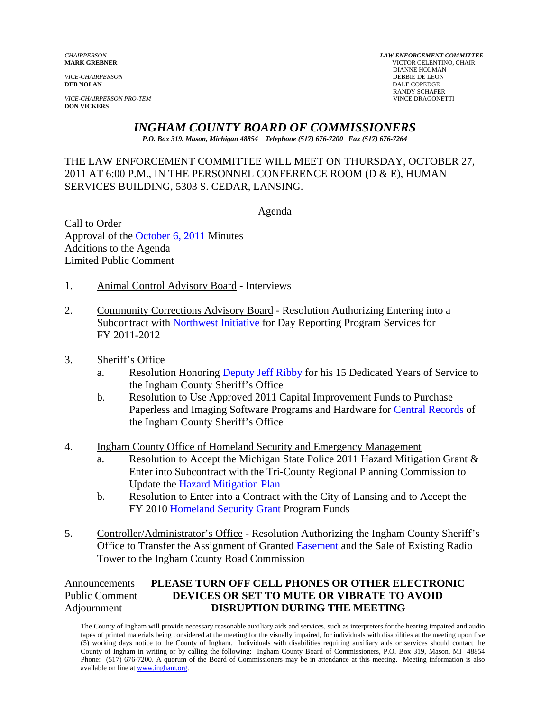*VICE-CHAIRPERSON PRO-TEM* VINCE DRAGONETTI **DON VICKERS** 

*CHAIRPERSON LAW ENFORCEMENT COMMITTEE* **MARK GREBNER** VICTOR CELENTINO, CHAIR **DIANNE HOLMAN<br>DEBBIE DE LEON** *VICE-CHAIRPERSON* DEBBIE DE LEON **DEB NOLAN** DALE COPEDGE RANDY SCHAFER

# *INGHAM COUNTY BOARD OF COMMISSIONERS*

*P.O. Box 319. Mason, Michigan 48854 Telephone (517) 676-7200 Fax (517) 676-7264*

## THE LAW ENFORCEMENT COMMITTEE WILL MEET ON THURSDAY, OCTOBER 27, 2011 AT 6:00 P.M., IN THE PERSONNEL CONFERENCE ROOM (D & E), HUMAN SERVICES BUILDING, 5303 S. CEDAR, LANSING.

Agenda

Call to Order Approval of t[he October 6, 2011 Minutes](#page-1-0)  Additions to the Agenda Limited Public Comment

- 1. Animal Control Advisory Board Interviews
- 2. Community [Corrections Advisory Board Resolutio](#page-6-0)n Authorizing Entering into a Subcontract with Northwest Initiative for Day Reporting Program Services for FY 2011-2012
- 3. Sheriff's Office
	- a. Resolution Honori[ng Deputy Jeff Ribby for his 1](#page-8-0)5 Dedicated Years of Service to the Ingham County Sheriff's Office
	- b. Resolution to Use Approved 2011 Capital Improvement Funds to Purchase Paperless and Imaging Software Programs and Hardwar[e for Central Records of](#page-10-0)  the Ingham County Sheriff's Office
- 4. Ingham County Office of Homeland Security and Emergency Management
	- a. Resolution to Accept the Michigan State Police 2011 Hazard Mitigation Grant & Enter into Subcontract with the Tri-County Regional Planning Commission to Update th[e Hazard Mitigation Plan](#page-12-0)
	- b. Resolution to Enter into a Contract with the City of Lansing and to Accept the FY 201[0 Homeland Security Grant Program Fu](#page-14-0)nds
- 5. Controller/Administrator's Office Resolution Authorizing the Ingham County Sheriff's Office to Transfer the Assignment of Grant[ed Easement and the Sale of E](#page-16-0)xisting Radio Tower to the Ingham County Road Commission

## Announcements **PLEASE TURN OFF CELL PHONES OR OTHER ELECTRONIC** Public Comment **DEVICES OR SET TO MUTE OR VIBRATE TO AVOID** Adjournment **DISRUPTION DURING THE MEETING**

The County of Ingham will provide necessary reasonable auxiliary aids and services, such as interpreters for the hearing impaired and audio tapes of printed materials being considered at the meeting for the visually impaired, for individuals with disabilities at the meeting upon five (5) working days notice to the County of Ingham. Individuals with disabilities requiring auxiliary aids or services should contact the County of Ingham in writing or by calling the following: Ingham County Board of Commissioners, P.O. Box 319, Mason, MI 48854 Phone: (517) 676-7200. A quorum of the Board of Commissioners may be in attendance at this meeting. Meeting information is also available on line at www.ingham.org.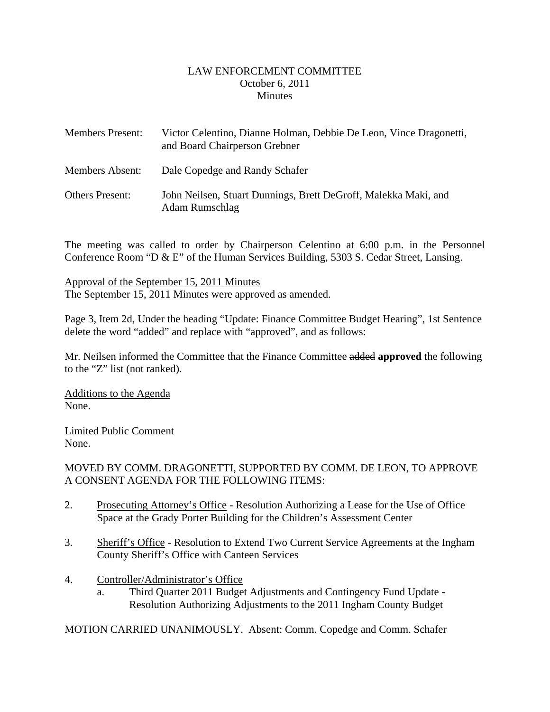#### LAW ENFORCEMENT COMMITTEE October 6, 2011 **Minutes**

<span id="page-1-0"></span>

| <b>Members Present:</b> | Victor Celentino, Dianne Holman, Debbie De Leon, Vince Dragonetti,<br>and Board Chairperson Grebner |
|-------------------------|-----------------------------------------------------------------------------------------------------|
| <b>Members Absent:</b>  | Dale Copedge and Randy Schafer                                                                      |
| <b>Others Present:</b>  | John Neilsen, Stuart Dunnings, Brett DeGroff, Malekka Maki, and<br>Adam Rumschlag                   |

The meeting was called to order by Chairperson Celentino at 6:00 p.m. in the Personnel Conference Room "D & E" of the Human Services Building, 5303 S. Cedar Street, Lansing.

Approval of the September 15, 2011 Minutes The September 15, 2011 Minutes were approved as amended.

Page 3, Item 2d, Under the heading "Update: Finance Committee Budget Hearing", 1st Sentence delete the word "added" and replace with "approved", and as follows:

Mr. Neilsen informed the Committee that the Finance Committee added **approved** the following to the "Z" list (not ranked).

Additions to the Agenda None.

Limited Public Comment None.

## MOVED BY COMM. DRAGONETTI, SUPPORTED BY COMM. DE LEON, TO APPROVE A CONSENT AGENDA FOR THE FOLLOWING ITEMS:

- 2. Prosecuting Attorney's Office Resolution Authorizing a Lease for the Use of Office Space at the Grady Porter Building for the Children's Assessment Center
- 3. Sheriff's Office Resolution to Extend Two Current Service Agreements at the Ingham County Sheriff's Office with Canteen Services
- 4. Controller/Administrator's Office
	- a. Third Quarter 2011 Budget Adjustments and Contingency Fund Update Resolution Authorizing Adjustments to the 2011 Ingham County Budget

MOTION CARRIED UNANIMOUSLY. Absent: Comm. Copedge and Comm. Schafer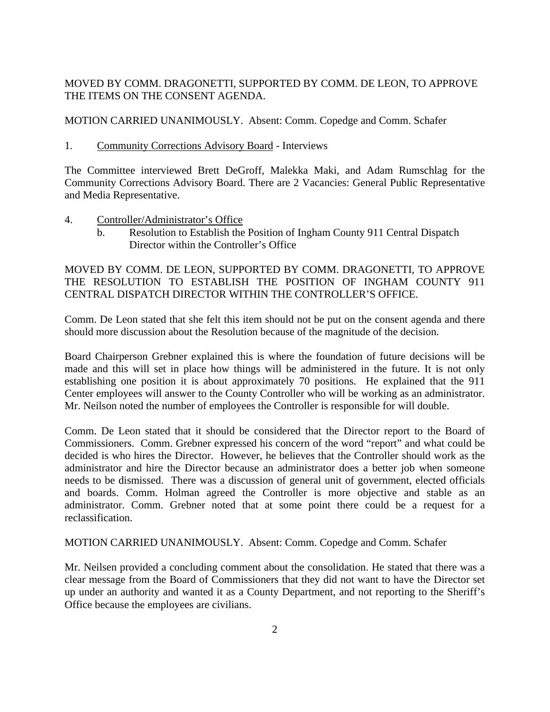## MOVED BY COMM. DRAGONETTI, SUPPORTED BY COMM. DE LEON, TO APPROVE THE ITEMS ON THE CONSENT AGENDA.

#### MOTION CARRIED UNANIMOUSLY. Absent: Comm. Copedge and Comm. Schafer

1. Community Corrections Advisory Board - Interviews

The Committee interviewed Brett DeGroff, Malekka Maki, and Adam Rumschlag for the Community Corrections Advisory Board. There are 2 Vacancies: General Public Representative and Media Representative.

- 4. Controller/Administrator's Office
	- b. Resolution to Establish the Position of Ingham County 911 Central Dispatch Director within the Controller's Office

MOVED BY COMM. DE LEON, SUPPORTED BY COMM. DRAGONETTI, TO APPROVE THE RESOLUTION TO ESTABLISH THE POSITION OF INGHAM COUNTY 911 CENTRAL DISPATCH DIRECTOR WITHIN THE CONTROLLER'S OFFICE.

Comm. De Leon stated that she felt this item should not be put on the consent agenda and there should more discussion about the Resolution because of the magnitude of the decision.

Board Chairperson Grebner explained this is where the foundation of future decisions will be made and this will set in place how things will be administered in the future. It is not only establishing one position it is about approximately 70 positions. He explained that the 911 Center employees will answer to the County Controller who will be working as an administrator. Mr. Neilson noted the number of employees the Controller is responsible for will double.

Comm. De Leon stated that it should be considered that the Director report to the Board of Commissioners. Comm. Grebner expressed his concern of the word "report" and what could be decided is who hires the Director. However, he believes that the Controller should work as the administrator and hire the Director because an administrator does a better job when someone needs to be dismissed. There was a discussion of general unit of government, elected officials and boards. Comm. Holman agreed the Controller is more objective and stable as an administrator. Comm. Grebner noted that at some point there could be a request for a reclassification.

MOTION CARRIED UNANIMOUSLY. Absent: Comm. Copedge and Comm. Schafer

Mr. Neilsen provided a concluding comment about the consolidation. He stated that there was a clear message from the Board of Commissioners that they did not want to have the Director set up under an authority and wanted it as a County Department, and not reporting to the Sheriff's Office because the employees are civilians.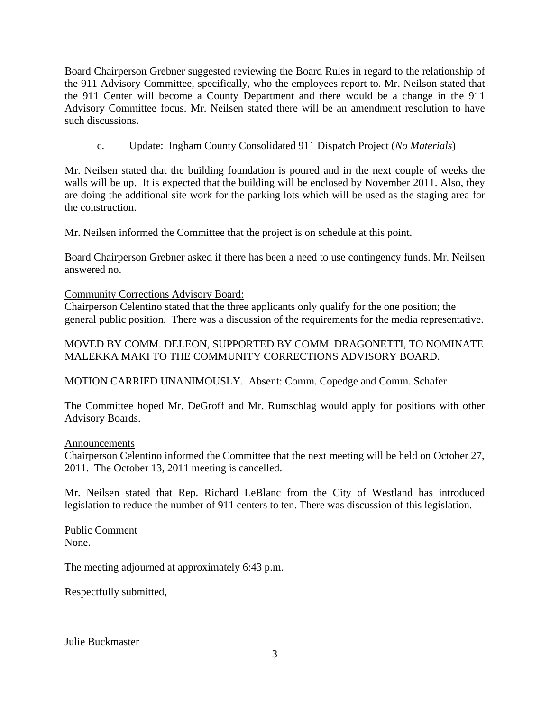Board Chairperson Grebner suggested reviewing the Board Rules in regard to the relationship of the 911 Advisory Committee, specifically, who the employees report to. Mr. Neilson stated that the 911 Center will become a County Department and there would be a change in the 911 Advisory Committee focus. Mr. Neilsen stated there will be an amendment resolution to have such discussions.

c. Update: Ingham County Consolidated 911 Dispatch Project (*No Materials*)

Mr. Neilsen stated that the building foundation is poured and in the next couple of weeks the walls will be up. It is expected that the building will be enclosed by November 2011. Also, they are doing the additional site work for the parking lots which will be used as the staging area for the construction.

Mr. Neilsen informed the Committee that the project is on schedule at this point.

Board Chairperson Grebner asked if there has been a need to use contingency funds. Mr. Neilsen answered no.

Community Corrections Advisory Board:

Chairperson Celentino stated that the three applicants only qualify for the one position; the general public position. There was a discussion of the requirements for the media representative.

## MOVED BY COMM. DELEON, SUPPORTED BY COMM. DRAGONETTI, TO NOMINATE MALEKKA MAKI TO THE COMMUNITY CORRECTIONS ADVISORY BOARD.

MOTION CARRIED UNANIMOUSLY. Absent: Comm. Copedge and Comm. Schafer

The Committee hoped Mr. DeGroff and Mr. Rumschlag would apply for positions with other Advisory Boards.

## Announcements

Chairperson Celentino informed the Committee that the next meeting will be held on October 27, 2011. The October 13, 2011 meeting is cancelled.

Mr. Neilsen stated that Rep. Richard LeBlanc from the City of Westland has introduced legislation to reduce the number of 911 centers to ten. There was discussion of this legislation.

Public Comment None.

The meeting adjourned at approximately 6:43 p.m.

Respectfully submitted,

Julie Buckmaster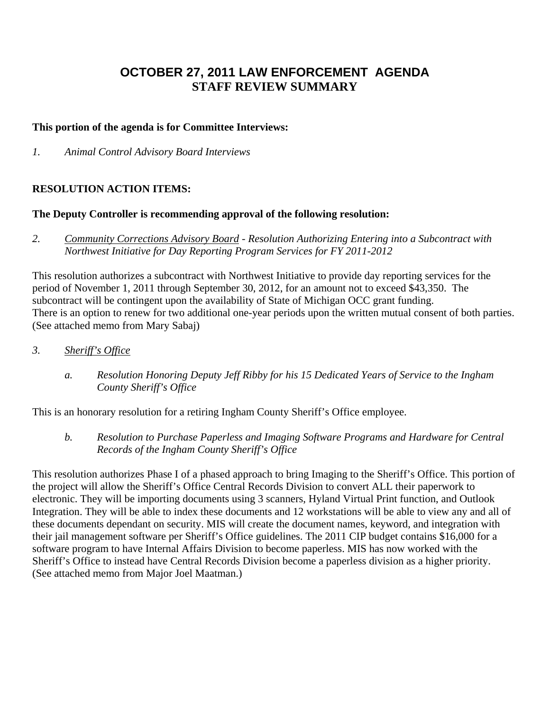## **OCTOBER 27, 2011 LAW ENFORCEMENT AGENDA STAFF REVIEW SUMMARY**

#### **This portion of the agenda is for Committee Interviews:**

*1. Animal Control Advisory Board Interviews* 

#### **RESOLUTION ACTION ITEMS:**

#### **The Deputy Controller is recommending approval of the following resolution:**

*2. Community Corrections Advisory Board - Resolution Authorizing Entering into a Subcontract with Northwest Initiative for Day Reporting Program Services for FY 2011-2012* 

This resolution authorizes a subcontract with Northwest Initiative to provide day reporting services for the period of November 1, 2011 through September 30, 2012, for an amount not to exceed \$43,350. The subcontract will be contingent upon the availability of State of Michigan OCC grant funding. There is an option to renew for two additional one-year periods upon the written mutual consent of both parties. (See attached memo from Mary Sabaj)

- *3. Sheriff's Office* 
	- *a. Resolution Honoring Deputy Jeff Ribby for his 15 Dedicated Years of Service to the Ingham County Sheriff's Office*

This is an honorary resolution for a retiring Ingham County Sheriff's Office employee.

*b. Resolution to Purchase Paperless and Imaging Software Programs and Hardware for Central Records of the Ingham County Sheriff's Office* 

This resolution authorizes Phase I of a phased approach to bring Imaging to the Sheriff's Office. This portion of the project will allow the Sheriff's Office Central Records Division to convert ALL their paperwork to electronic. They will be importing documents using 3 scanners, Hyland Virtual Print function, and Outlook Integration. They will be able to index these documents and 12 workstations will be able to view any and all of these documents dependant on security. MIS will create the document names, keyword, and integration with their jail management software per Sheriff's Office guidelines. The 2011 CIP budget contains \$16,000 for a software program to have Internal Affairs Division to become paperless. MIS has now worked with the Sheriff's Office to instead have Central Records Division become a paperless division as a higher priority. (See attached memo from Major Joel Maatman.)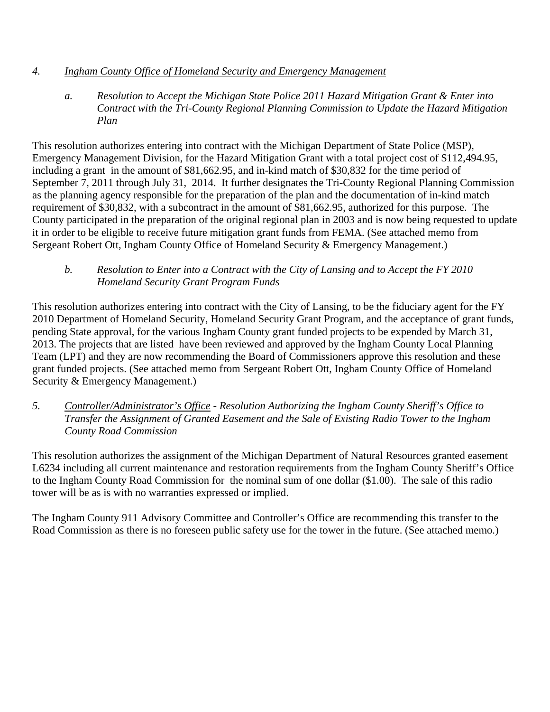## *4. Ingham County Office of Homeland Security and Emergency Management*

*a. Resolution to Accept the Michigan State Police 2011 Hazard Mitigation Grant & Enter into Contract with the Tri-County Regional Planning Commission to Update the Hazard Mitigation Plan* 

This resolution authorizes entering into contract with the Michigan Department of State Police (MSP), Emergency Management Division, for the Hazard Mitigation Grant with a total project cost of \$112,494.95, including a grant in the amount of \$81,662.95, and in-kind match of \$30,832 for the time period of September 7, 2011 through July 31, 2014. It further designates the Tri-County Regional Planning Commission as the planning agency responsible for the preparation of the plan and the documentation of in-kind match requirement of \$30,832, with a subcontract in the amount of \$81,662.95, authorized for this purpose. The County participated in the preparation of the original regional plan in 2003 and is now being requested to update it in order to be eligible to receive future mitigation grant funds from FEMA. (See attached memo from Sergeant Robert Ott, Ingham County Office of Homeland Security & Emergency Management.)

## *b. Resolution to Enter into a Contract with the City of Lansing and to Accept the FY 2010 Homeland Security Grant Program Funds*

This resolution authorizes entering into contract with the City of Lansing, to be the fiduciary agent for the FY 2010 Department of Homeland Security, Homeland Security Grant Program, and the acceptance of grant funds, pending State approval, for the various Ingham County grant funded projects to be expended by March 31, 2013. The projects that are listed have been reviewed and approved by the Ingham County Local Planning Team (LPT) and they are now recommending the Board of Commissioners approve this resolution and these grant funded projects. (See attached memo from Sergeant Robert Ott, Ingham County Office of Homeland Security & Emergency Management.)

*5. Controller/Administrator's Office - Resolution Authorizing the Ingham County Sheriff's Office to Transfer the Assignment of Granted Easement and the Sale of Existing Radio Tower to the Ingham County Road Commission* 

This resolution authorizes the assignment of the Michigan Department of Natural Resources granted easement L6234 including all current maintenance and restoration requirements from the Ingham County Sheriff's Office to the Ingham County Road Commission for the nominal sum of one dollar (\$1.00). The sale of this radio tower will be as is with no warranties expressed or implied.

The Ingham County 911 Advisory Committee and Controller's Office are recommending this transfer to the Road Commission as there is no foreseen public safety use for the tower in the future. (See attached memo.)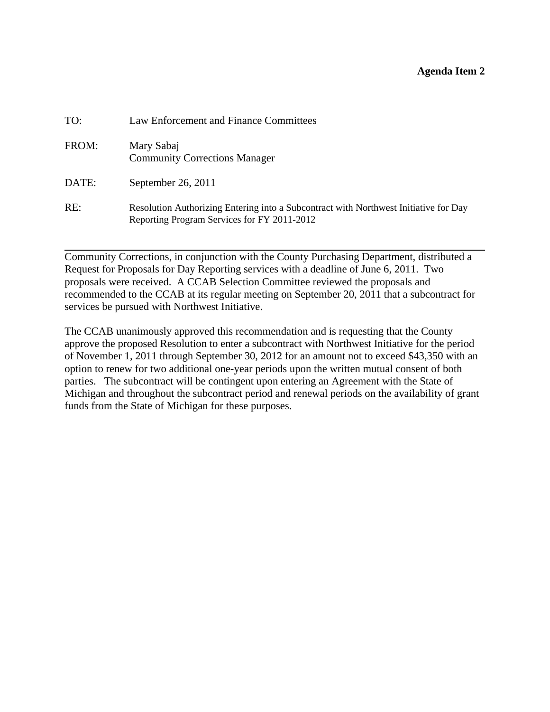#### **Agenda Item 2**

<span id="page-6-0"></span>

| TO:   | Law Enforcement and Finance Committees                                                                                              |
|-------|-------------------------------------------------------------------------------------------------------------------------------------|
| FROM: | Mary Sabaj<br><b>Community Corrections Manager</b>                                                                                  |
| DATE: | September 26, 2011                                                                                                                  |
| RE:   | Resolution Authorizing Entering into a Subcontract with Northwest Initiative for Day<br>Reporting Program Services for FY 2011-2012 |

Community Corrections, in conjunction with the County Purchasing Department, distributed a Request for Proposals for Day Reporting services with a deadline of June 6, 2011. Two proposals were received. A CCAB Selection Committee reviewed the proposals and recommended to the CCAB at its regular meeting on September 20, 2011 that a subcontract for services be pursued with Northwest Initiative.

The CCAB unanimously approved this recommendation and is requesting that the County approve the proposed Resolution to enter a subcontract with Northwest Initiative for the period of November 1, 2011 through September 30, 2012 for an amount not to exceed \$43,350 with an option to renew for two additional one-year periods upon the written mutual consent of both parties. The subcontract will be contingent upon entering an Agreement with the State of Michigan and throughout the subcontract period and renewal periods on the availability of grant funds from the State of Michigan for these purposes.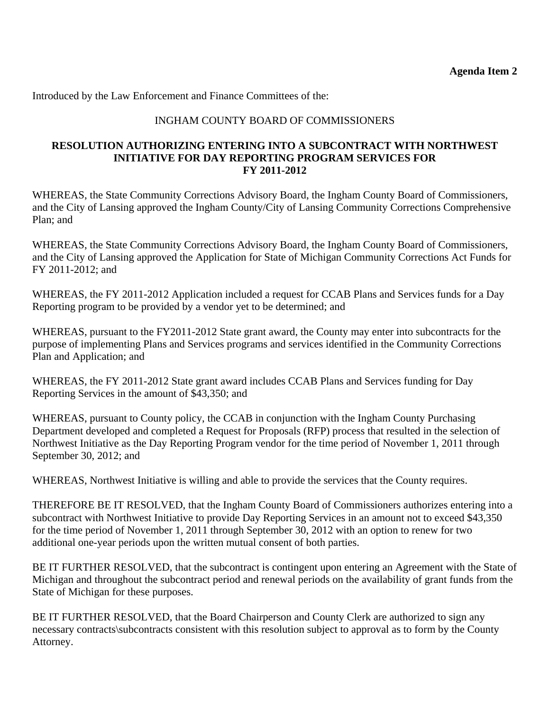## INGHAM COUNTY BOARD OF COMMISSIONERS

#### **RESOLUTION AUTHORIZING ENTERING INTO A SUBCONTRACT WITH NORTHWEST INITIATIVE FOR DAY REPORTING PROGRAM SERVICES FOR FY 2011-2012**

WHEREAS, the State Community Corrections Advisory Board, the Ingham County Board of Commissioners, and the City of Lansing approved the Ingham County/City of Lansing Community Corrections Comprehensive Plan; and

WHEREAS, the State Community Corrections Advisory Board, the Ingham County Board of Commissioners, and the City of Lansing approved the Application for State of Michigan Community Corrections Act Funds for FY 2011-2012; and

WHEREAS, the FY 2011-2012 Application included a request for CCAB Plans and Services funds for a Day Reporting program to be provided by a vendor yet to be determined; and

WHEREAS, pursuant to the FY2011-2012 State grant award, the County may enter into subcontracts for the purpose of implementing Plans and Services programs and services identified in the Community Corrections Plan and Application; and

WHEREAS, the FY 2011-2012 State grant award includes CCAB Plans and Services funding for Day Reporting Services in the amount of \$43,350; and

WHEREAS, pursuant to County policy, the CCAB in conjunction with the Ingham County Purchasing Department developed and completed a Request for Proposals (RFP) process that resulted in the selection of Northwest Initiative as the Day Reporting Program vendor for the time period of November 1, 2011 through September 30, 2012; and

WHEREAS, Northwest Initiative is willing and able to provide the services that the County requires.

THEREFORE BE IT RESOLVED, that the Ingham County Board of Commissioners authorizes entering into a subcontract with Northwest Initiative to provide Day Reporting Services in an amount not to exceed \$43,350 for the time period of November 1, 2011 through September 30, 2012 with an option to renew for two additional one-year periods upon the written mutual consent of both parties.

BE IT FURTHER RESOLVED, that the subcontract is contingent upon entering an Agreement with the State of Michigan and throughout the subcontract period and renewal periods on the availability of grant funds from the State of Michigan for these purposes.

BE IT FURTHER RESOLVED, that the Board Chairperson and County Clerk are authorized to sign any necessary contracts\subcontracts consistent with this resolution subject to approval as to form by the County Attorney.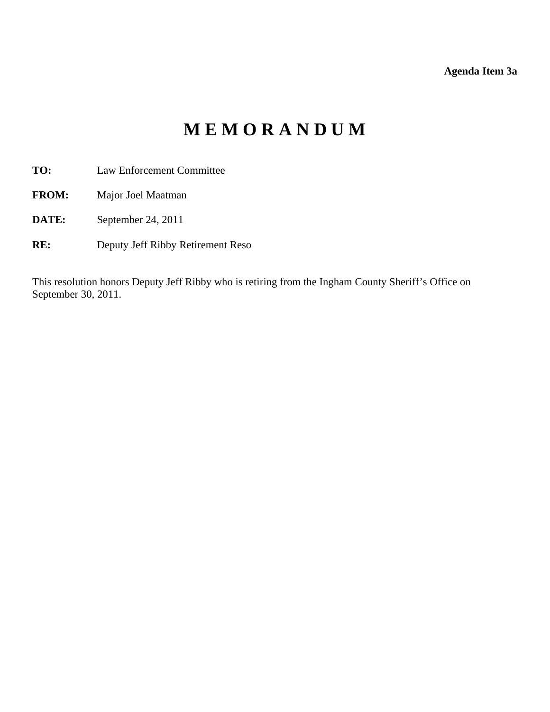**Agenda Item 3a** 

# **M E M O R A N D U M**

- <span id="page-8-0"></span>**TO:** Law Enforcement Committee
- **FROM:** Major Joel Maatman
- **DATE:** September 24, 2011
- **RE:** Deputy Jeff Ribby Retirement Reso

This resolution honors Deputy Jeff Ribby who is retiring from the Ingham County Sheriff's Office on September 30, 2011.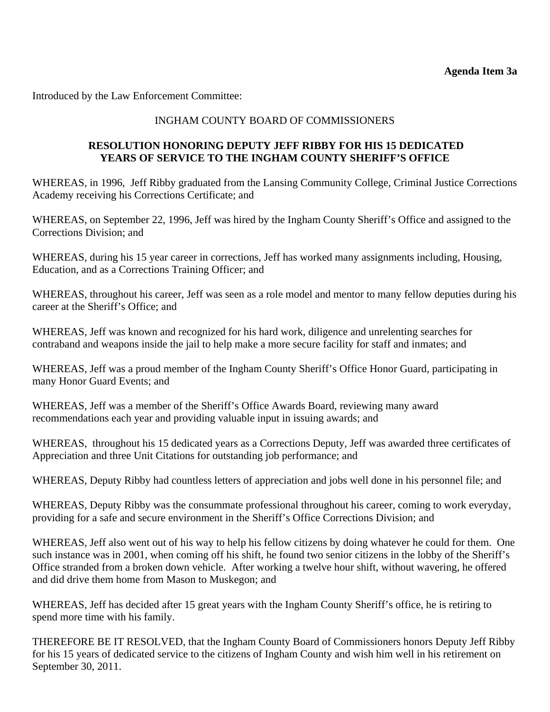Introduced by the Law Enforcement Committee:

## INGHAM COUNTY BOARD OF COMMISSIONERS

## **RESOLUTION HONORING DEPUTY JEFF RIBBY FOR HIS 15 DEDICATED YEARS OF SERVICE TO THE INGHAM COUNTY SHERIFF'S OFFICE**

WHEREAS, in 1996, Jeff Ribby graduated from the Lansing Community College, Criminal Justice Corrections Academy receiving his Corrections Certificate; and

WHEREAS, on September 22, 1996, Jeff was hired by the Ingham County Sheriff's Office and assigned to the Corrections Division; and

WHEREAS, during his 15 year career in corrections, Jeff has worked many assignments including, Housing, Education, and as a Corrections Training Officer; and

WHEREAS, throughout his career, Jeff was seen as a role model and mentor to many fellow deputies during his career at the Sheriff's Office; and

WHEREAS, Jeff was known and recognized for his hard work, diligence and unrelenting searches for contraband and weapons inside the jail to help make a more secure facility for staff and inmates; and

WHEREAS, Jeff was a proud member of the Ingham County Sheriff's Office Honor Guard, participating in many Honor Guard Events; and

WHEREAS, Jeff was a member of the Sheriff's Office Awards Board, reviewing many award recommendations each year and providing valuable input in issuing awards; and

WHEREAS, throughout his 15 dedicated years as a Corrections Deputy, Jeff was awarded three certificates of Appreciation and three Unit Citations for outstanding job performance; and

WHEREAS, Deputy Ribby had countless letters of appreciation and jobs well done in his personnel file; and

WHEREAS, Deputy Ribby was the consummate professional throughout his career, coming to work everyday, providing for a safe and secure environment in the Sheriff's Office Corrections Division; and

WHEREAS, Jeff also went out of his way to help his fellow citizens by doing whatever he could for them. One such instance was in 2001, when coming off his shift, he found two senior citizens in the lobby of the Sheriff's Office stranded from a broken down vehicle. After working a twelve hour shift, without wavering, he offered and did drive them home from Mason to Muskegon; and

WHEREAS, Jeff has decided after 15 great years with the Ingham County Sheriff's office, he is retiring to spend more time with his family.

THEREFORE BE IT RESOLVED, that the Ingham County Board of Commissioners honors Deputy Jeff Ribby for his 15 years of dedicated service to the citizens of Ingham County and wish him well in his retirement on September 30, 2011.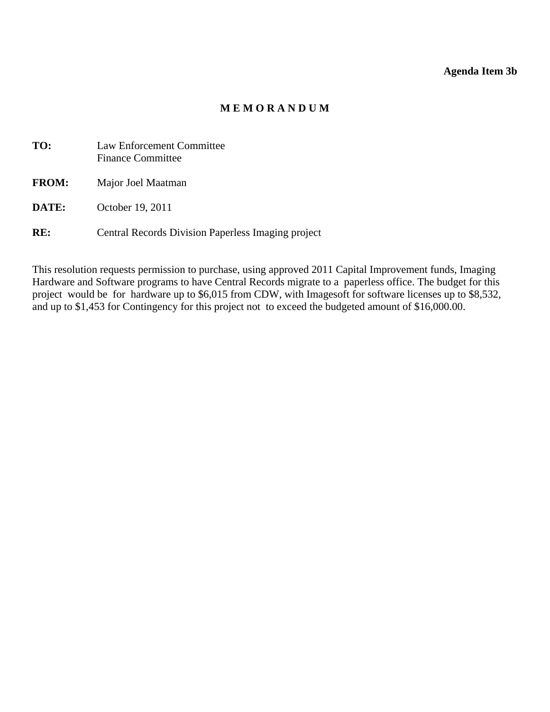## **Agenda Item 3b**

## **M E M O R A N D U M**

<span id="page-10-0"></span>

| TO:          | Law Enforcement Committee<br><b>Finance Committee</b> |
|--------------|-------------------------------------------------------|
| <b>FROM:</b> | Major Joel Maatman                                    |
| DATE:        | October 19, 2011                                      |

**RE:** Central Records Division Paperless Imaging project

This resolution requests permission to purchase, using approved 2011 Capital Improvement funds, Imaging Hardware and Software programs to have Central Records migrate to a paperless office. The budget for this project would be for hardware up to \$6,015 from CDW, with Imagesoft for software licenses up to \$8,532, and up to \$1,453 for Contingency for this project not to exceed the budgeted amount of \$16,000.00.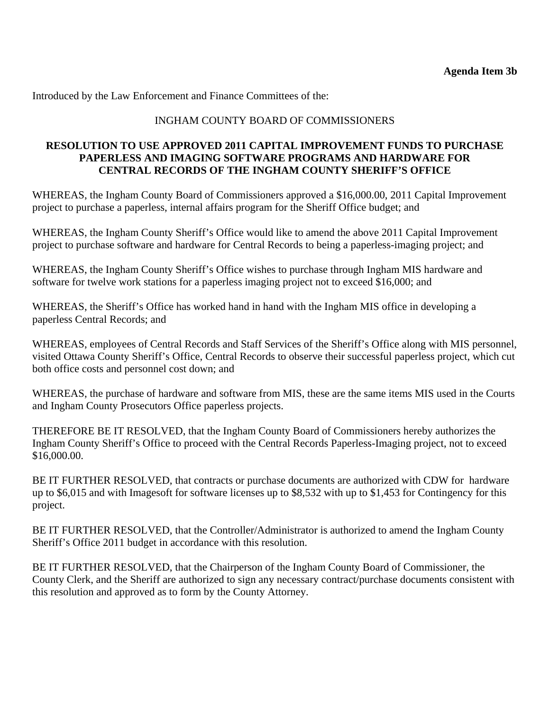## INGHAM COUNTY BOARD OF COMMISSIONERS

#### **RESOLUTION TO USE APPROVED 2011 CAPITAL IMPROVEMENT FUNDS TO PURCHASE PAPERLESS AND IMAGING SOFTWARE PROGRAMS AND HARDWARE FOR CENTRAL RECORDS OF THE INGHAM COUNTY SHERIFF'S OFFICE**

WHEREAS, the Ingham County Board of Commissioners approved a \$16,000.00, 2011 Capital Improvement project to purchase a paperless, internal affairs program for the Sheriff Office budget; and

WHEREAS, the Ingham County Sheriff's Office would like to amend the above 2011 Capital Improvement project to purchase software and hardware for Central Records to being a paperless-imaging project; and

WHEREAS, the Ingham County Sheriff's Office wishes to purchase through Ingham MIS hardware and software for twelve work stations for a paperless imaging project not to exceed \$16,000; and

WHEREAS, the Sheriff's Office has worked hand in hand with the Ingham MIS office in developing a paperless Central Records; and

WHEREAS, employees of Central Records and Staff Services of the Sheriff's Office along with MIS personnel, visited Ottawa County Sheriff's Office, Central Records to observe their successful paperless project, which cut both office costs and personnel cost down; and

WHEREAS, the purchase of hardware and software from MIS, these are the same items MIS used in the Courts and Ingham County Prosecutors Office paperless projects.

THEREFORE BE IT RESOLVED, that the Ingham County Board of Commissioners hereby authorizes the Ingham County Sheriff's Office to proceed with the Central Records Paperless-Imaging project, not to exceed \$16,000.00.

BE IT FURTHER RESOLVED, that contracts or purchase documents are authorized with CDW for hardware up to \$6,015 and with Imagesoft for software licenses up to \$8,532 with up to \$1,453 for Contingency for this project.

BE IT FURTHER RESOLVED, that the Controller/Administrator is authorized to amend the Ingham County Sheriff's Office 2011 budget in accordance with this resolution.

BE IT FURTHER RESOLVED, that the Chairperson of the Ingham County Board of Commissioner, the County Clerk, and the Sheriff are authorized to sign any necessary contract/purchase documents consistent with this resolution and approved as to form by the County Attorney.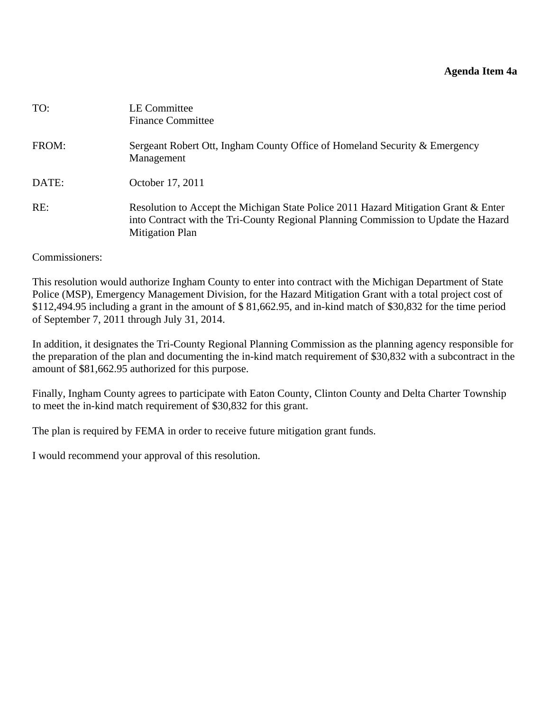#### **Agenda Item 4a**

<span id="page-12-0"></span>

| TO:   | LE Committee<br><b>Finance Committee</b>                                                                                                                                                             |
|-------|------------------------------------------------------------------------------------------------------------------------------------------------------------------------------------------------------|
| FROM: | Sergeant Robert Ott, Ingham County Office of Homeland Security & Emergency<br>Management                                                                                                             |
| DATE: | October 17, 2011                                                                                                                                                                                     |
| RE:   | Resolution to Accept the Michigan State Police 2011 Hazard Mitigation Grant & Enter<br>into Contract with the Tri-County Regional Planning Commission to Update the Hazard<br><b>Mitigation Plan</b> |

#### Commissioners:

This resolution would authorize Ingham County to enter into contract with the Michigan Department of State Police (MSP), Emergency Management Division, for the Hazard Mitigation Grant with a total project cost of \$112,494.95 including a grant in the amount of \$ 81,662.95, and in-kind match of \$30,832 for the time period of September 7, 2011 through July 31, 2014.

In addition, it designates the Tri-County Regional Planning Commission as the planning agency responsible for the preparation of the plan and documenting the in-kind match requirement of \$30,832 with a subcontract in the amount of \$81,662.95 authorized for this purpose.

Finally, Ingham County agrees to participate with Eaton County, Clinton County and Delta Charter Township to meet the in-kind match requirement of \$30,832 for this grant.

The plan is required by FEMA in order to receive future mitigation grant funds.

I would recommend your approval of this resolution.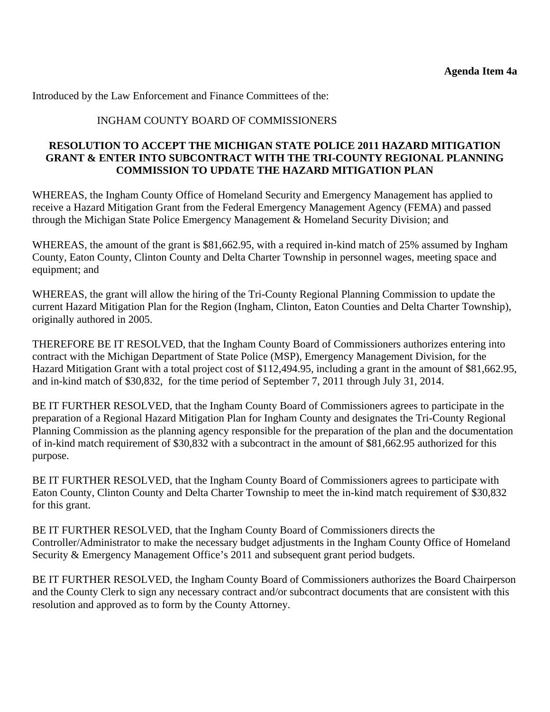#### INGHAM COUNTY BOARD OF COMMISSIONERS

#### **RESOLUTION TO ACCEPT THE MICHIGAN STATE POLICE 2011 HAZARD MITIGATION GRANT & ENTER INTO SUBCONTRACT WITH THE TRI-COUNTY REGIONAL PLANNING COMMISSION TO UPDATE THE HAZARD MITIGATION PLAN**

WHEREAS, the Ingham County Office of Homeland Security and Emergency Management has applied to receive a Hazard Mitigation Grant from the Federal Emergency Management Agency (FEMA) and passed through the Michigan State Police Emergency Management & Homeland Security Division; and

WHEREAS, the amount of the grant is \$81,662.95, with a required in-kind match of 25% assumed by Ingham County, Eaton County, Clinton County and Delta Charter Township in personnel wages, meeting space and equipment; and

WHEREAS, the grant will allow the hiring of the Tri-County Regional Planning Commission to update the current Hazard Mitigation Plan for the Region (Ingham, Clinton, Eaton Counties and Delta Charter Township), originally authored in 2005.

THEREFORE BE IT RESOLVED, that the Ingham County Board of Commissioners authorizes entering into contract with the Michigan Department of State Police (MSP), Emergency Management Division, for the Hazard Mitigation Grant with a total project cost of \$112,494.95, including a grant in the amount of \$81,662.95, and in-kind match of \$30,832, for the time period of September 7, 2011 through July 31, 2014.

BE IT FURTHER RESOLVED, that the Ingham County Board of Commissioners agrees to participate in the preparation of a Regional Hazard Mitigation Plan for Ingham County and designates the Tri-County Regional Planning Commission as the planning agency responsible for the preparation of the plan and the documentation of in-kind match requirement of \$30,832 with a subcontract in the amount of \$81,662.95 authorized for this purpose.

BE IT FURTHER RESOLVED, that the Ingham County Board of Commissioners agrees to participate with Eaton County, Clinton County and Delta Charter Township to meet the in-kind match requirement of \$30,832 for this grant.

BE IT FURTHER RESOLVED, that the Ingham County Board of Commissioners directs the Controller/Administrator to make the necessary budget adjustments in the Ingham County Office of Homeland Security & Emergency Management Office's 2011 and subsequent grant period budgets.

BE IT FURTHER RESOLVED, the Ingham County Board of Commissioners authorizes the Board Chairperson and the County Clerk to sign any necessary contract and/or subcontract documents that are consistent with this resolution and approved as to form by the County Attorney.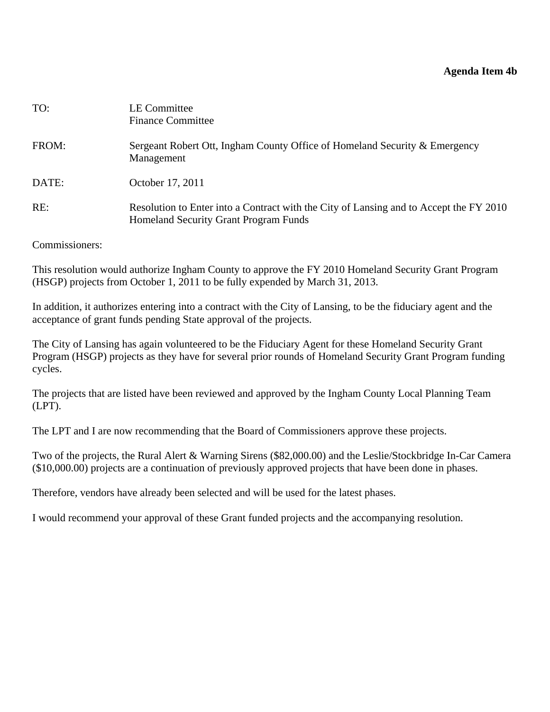#### **Agenda Item 4b**

<span id="page-14-0"></span>

| TO:   | LE Committee<br><b>Finance Committee</b>                                                                                        |
|-------|---------------------------------------------------------------------------------------------------------------------------------|
| FROM: | Sergeant Robert Ott, Ingham County Office of Homeland Security & Emergency<br>Management                                        |
| DATE: | October 17, 2011                                                                                                                |
| RE:   | Resolution to Enter into a Contract with the City of Lansing and to Accept the FY 2010<br>Homeland Security Grant Program Funds |

Commissioners:

This resolution would authorize Ingham County to approve the FY 2010 Homeland Security Grant Program (HSGP) projects from October 1, 2011 to be fully expended by March 31, 2013.

In addition, it authorizes entering into a contract with the City of Lansing, to be the fiduciary agent and the acceptance of grant funds pending State approval of the projects.

The City of Lansing has again volunteered to be the Fiduciary Agent for these Homeland Security Grant Program (HSGP) projects as they have for several prior rounds of Homeland Security Grant Program funding cycles.

The projects that are listed have been reviewed and approved by the Ingham County Local Planning Team (LPT).

The LPT and I are now recommending that the Board of Commissioners approve these projects.

Two of the projects, the Rural Alert & Warning Sirens (\$82,000.00) and the Leslie/Stockbridge In-Car Camera (\$10,000.00) projects are a continuation of previously approved projects that have been done in phases.

Therefore, vendors have already been selected and will be used for the latest phases.

I would recommend your approval of these Grant funded projects and the accompanying resolution.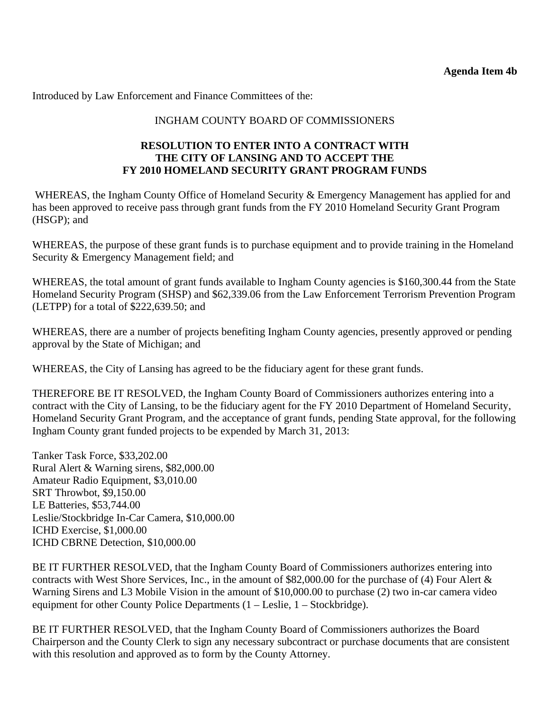## INGHAM COUNTY BOARD OF COMMISSIONERS

#### **RESOLUTION TO ENTER INTO A CONTRACT WITH THE CITY OF LANSING AND TO ACCEPT THE FY 2010 HOMELAND SECURITY GRANT PROGRAM FUNDS**

WHEREAS, the Ingham County Office of Homeland Security & Emergency Management has applied for and has been approved to receive pass through grant funds from the FY 2010 Homeland Security Grant Program (HSGP); and

WHEREAS, the purpose of these grant funds is to purchase equipment and to provide training in the Homeland Security & Emergency Management field; and

WHEREAS, the total amount of grant funds available to Ingham County agencies is \$160,300.44 from the State Homeland Security Program (SHSP) and \$62,339.06 from the Law Enforcement Terrorism Prevention Program (LETPP) for a total of \$222,639.50; and

WHEREAS, there are a number of projects benefiting Ingham County agencies, presently approved or pending approval by the State of Michigan; and

WHEREAS, the City of Lansing has agreed to be the fiduciary agent for these grant funds.

THEREFORE BE IT RESOLVED, the Ingham County Board of Commissioners authorizes entering into a contract with the City of Lansing, to be the fiduciary agent for the FY 2010 Department of Homeland Security, Homeland Security Grant Program, and the acceptance of grant funds, pending State approval, for the following Ingham County grant funded projects to be expended by March 31, 2013:

Tanker Task Force, \$33,202.00 Rural Alert & Warning sirens, \$82,000.00 Amateur Radio Equipment, \$3,010.00 SRT Throwbot, \$9,150.00 LE Batteries, \$53,744.00 Leslie/Stockbridge In-Car Camera, \$10,000.00 ICHD Exercise, \$1,000.00 ICHD CBRNE Detection, \$10,000.00

BE IT FURTHER RESOLVED, that the Ingham County Board of Commissioners authorizes entering into contracts with West Shore Services, Inc., in the amount of \$82,000.00 for the purchase of (4) Four Alert & Warning Sirens and L3 Mobile Vision in the amount of \$10,000.00 to purchase (2) two in-car camera video equipment for other County Police Departments (1 – Leslie, 1 – Stockbridge).

BE IT FURTHER RESOLVED, that the Ingham County Board of Commissioners authorizes the Board Chairperson and the County Clerk to sign any necessary subcontract or purchase documents that are consistent with this resolution and approved as to form by the County Attorney.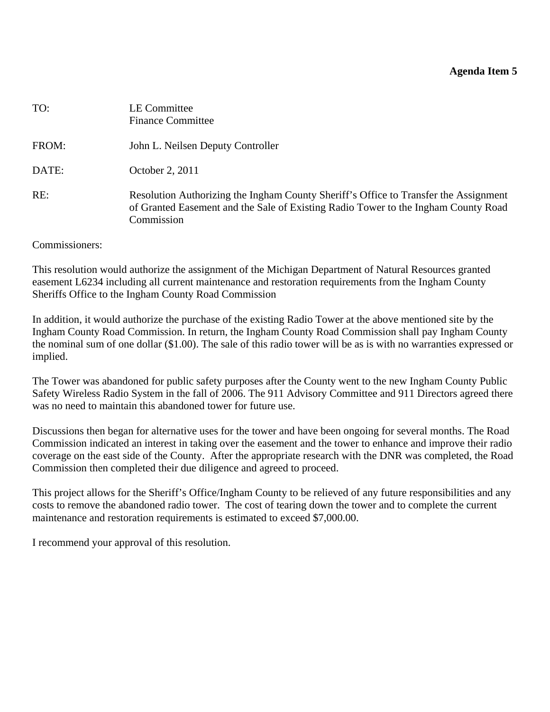#### **Agenda Item 5**

<span id="page-16-0"></span>

| TO:   | <b>LE Committee</b><br><b>Finance Committee</b>                                                                                                                                          |
|-------|------------------------------------------------------------------------------------------------------------------------------------------------------------------------------------------|
| FROM: | John L. Neilsen Deputy Controller                                                                                                                                                        |
| DATE: | October 2, 2011                                                                                                                                                                          |
| RE:   | Resolution Authorizing the Ingham County Sheriff's Office to Transfer the Assignment<br>of Granted Easement and the Sale of Existing Radio Tower to the Ingham County Road<br>Commission |

#### Commissioners:

This resolution would authorize the assignment of the Michigan Department of Natural Resources granted easement L6234 including all current maintenance and restoration requirements from the Ingham County Sheriffs Office to the Ingham County Road Commission

In addition, it would authorize the purchase of the existing Radio Tower at the above mentioned site by the Ingham County Road Commission. In return, the Ingham County Road Commission shall pay Ingham County the nominal sum of one dollar (\$1.00). The sale of this radio tower will be as is with no warranties expressed or implied.

The Tower was abandoned for public safety purposes after the County went to the new Ingham County Public Safety Wireless Radio System in the fall of 2006. The 911 Advisory Committee and 911 Directors agreed there was no need to maintain this abandoned tower for future use.

Discussions then began for alternative uses for the tower and have been ongoing for several months. The Road Commission indicated an interest in taking over the easement and the tower to enhance and improve their radio coverage on the east side of the County. After the appropriate research with the DNR was completed, the Road Commission then completed their due diligence and agreed to proceed.

This project allows for the Sheriff's Office/Ingham County to be relieved of any future responsibilities and any costs to remove the abandoned radio tower. The cost of tearing down the tower and to complete the current maintenance and restoration requirements is estimated to exceed \$7,000.00.

I recommend your approval of this resolution.